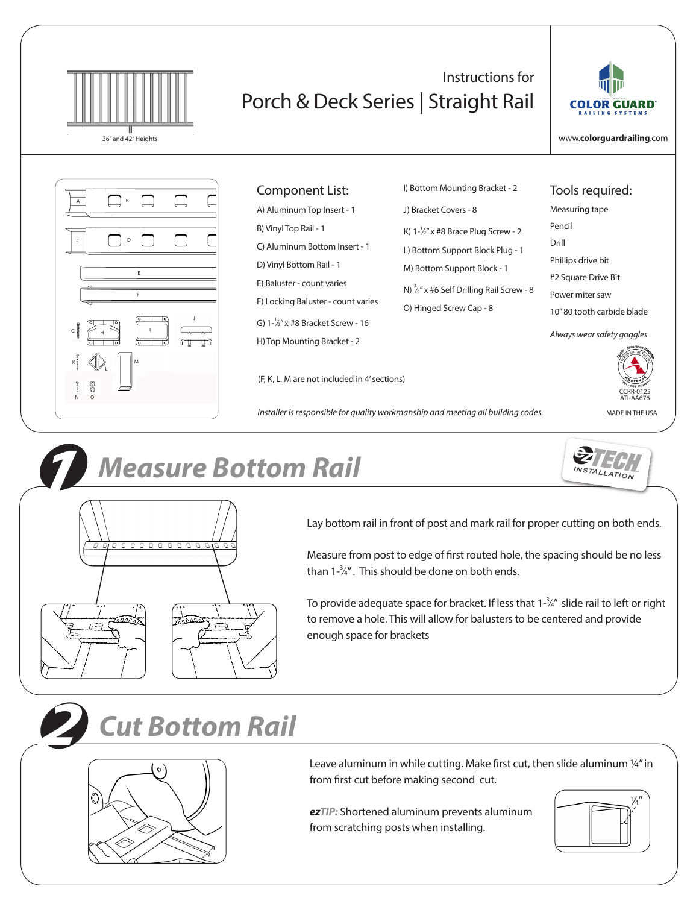

## Instructions for Porch & Deck Series | Straight Rail



www.**colorguardrailing**.com

Tools required: Measuring tape

Phillips drive bit #2 Square Drive Bit Power miter saw

10" 80 tooth carbide blade

*Always wear safety goggles*

Pencil Drill



| Component List:                              | I) Bottom Mounting Bracket - 2                       |
|----------------------------------------------|------------------------------------------------------|
| A) Aluminum Top Insert - 1                   | J) Bracket Covers - 8                                |
| B) Vinyl Top Rail - 1                        | K) $1-\frac{1}{2}$ " x #8 Brace Plug Screw - 2       |
| C) Aluminum Bottom Insert - 1                | L) Bottom Support Block Plug - 1                     |
| D) Vinyl Bottom Rail - 1                     | M) Bottom Support Block - 1                          |
| E) Baluster - count varies                   | N) $\frac{3}{4}$ " x #6 Self Drilling Rail Screw - 8 |
| F) Locking Baluster - count varies           | O) Hinged Screw Cap - 8                              |
| G) $1-\frac{1}{2}$ " x #8 Bracket Screw - 16 |                                                      |
| H) Top Mounting Bracket - 2                  |                                                      |
|                                              |                                                      |

(F, K, L, M are not included in 4' sections)

*Installer is responsible for quality workmanship and meeting all building codes.* MADE IN THE USA



CCRR-0125 ATI-AA676





Lay bottom rail in front of post and mark rail for proper cutting on both ends.

Measure from post to edge of first routed hole, the spacing should be no less than  $1-\frac{3}{4}$ ". This should be done on both ends.

To provide adequate space for bracket. If less that  $1\frac{3}{4}$ " slide rail to left or right to remove a hole. This will allow for balusters to be centered and provide enough space for brackets

## *2 Cut Bottom Rail*



Leave aluminum in while cutting. Make first cut, then slide aluminum ¼" in from first cut before making second cut.

*ezTIP:* Shortened aluminum prevents aluminum from scratching posts when installing.

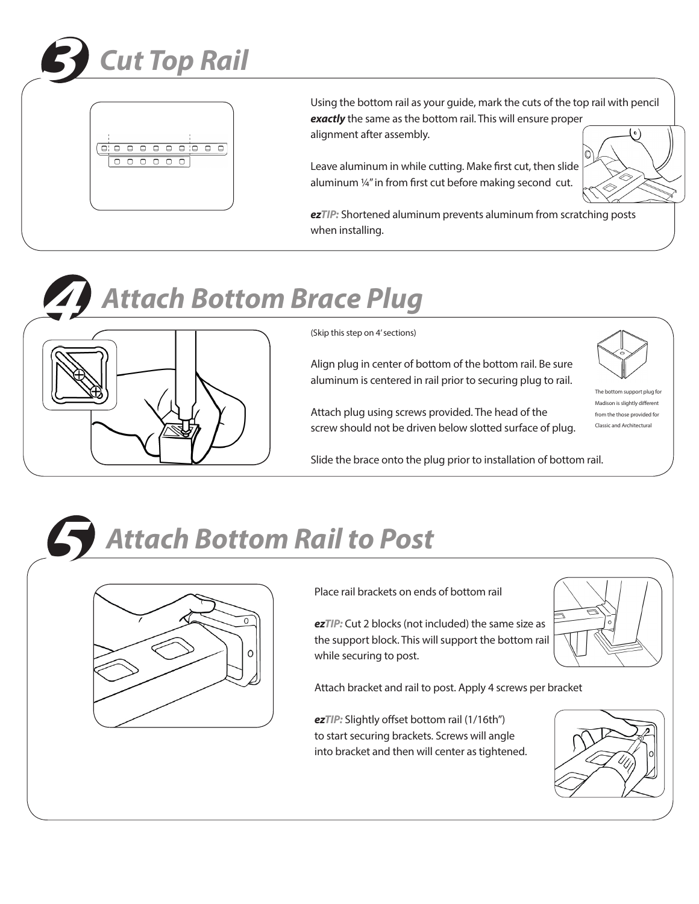



Using the bottom rail as your guide, mark the cuts of the top rail with pencil *exactly* the same as the bottom rail. This will ensure proper alignment after assembly.

Leave aluminum in while cutting. Make first cut, then slide aluminum ¼" in from first cut before making second cut.



*ezTIP:* Shortened aluminum prevents aluminum from scratching posts when installing.





(Skip this step on 4' sections)

Align plug in center of bottom of the bottom rail. Be sure aluminum is centered in rail prior to securing plug to rail.

Attach plug using screws provided. The head of the screw should not be driven below slotted surface of plug.

Slide the brace onto the plug prior to installation of bottom rail.



ttom support plug for Madison is slightly different from the those provided for Classic and Architectural





Place rail brackets on ends of bottom rail

*ezTIP:* Cut 2 blocks (not included) the same size as the support block. This will support the bottom rail while securing to post.

Attach bracket and rail to post. Apply 4 screws per bracket

*ezTIP:* Slightly offset bottom rail (1/16th") to start securing brackets. Screws will angle into bracket and then will center as tightened.